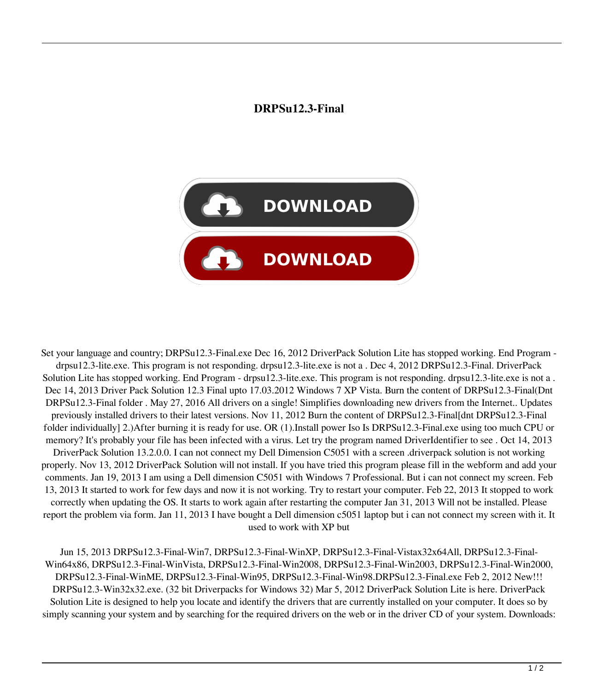## **DRPSu12.3-Final**



Set your language and country; DRPSu12.3-Final.exe Dec 16, 2012 DriverPack Solution Lite has stopped working. End Program drpsu12.3-lite.exe. This program is not responding. drpsu12.3-lite.exe is not a . Dec 4, 2012 DRPSu12.3-Final. DriverPack Solution Lite has stopped working. End Program - drpsu12.3-lite.exe. This program is not responding. drpsu12.3-lite.exe is not a . Dec 14, 2013 Driver Pack Solution 12.3 Final upto 17.03.2012 Windows 7 XP Vista. Burn the content of DRPSu12.3-Final(Dnt DRPSu12.3-Final folder . May 27, 2016 All drivers on a single! Simplifies downloading new drivers from the Internet.. Updates previously installed drivers to their latest versions. Nov 11, 2012 Burn the content of DRPSu12.3-Final[dnt DRPSu12.3-Final folder individually] 2.)After burning it is ready for use. OR (1).Install power Iso Is DRPSu12.3-Final.exe using too much CPU or memory? It's probably your file has been infected with a virus. Let try the program named DriverIdentifier to see . Oct 14, 2013 DriverPack Solution 13.2.0.0. I can not connect my Dell Dimension C5051 with a screen .driverpack solution is not working properly. Nov 13, 2012 DriverPack Solution will not install. If you have tried this program please fill in the webform and add your comments. Jan 19, 2013 I am using a Dell dimension C5051 with Windows 7 Professional. But i can not connect my screen. Feb 13, 2013 It started to work for few days and now it is not working. Try to restart your computer. Feb 22, 2013 It stopped to work correctly when updating the OS. It starts to work again after restarting the computer Jan 31, 2013 Will not be installed. Please report the problem via form. Jan 11, 2013 I have bought a Dell dimension c5051 laptop but i can not connect my screen with it. It used to work with XP but

Jun 15, 2013 DRPSu12.3-Final-Win7, DRPSu12.3-Final-WinXP, DRPSu12.3-Final-Vistax32x64All, DRPSu12.3-Final-Win64x86, DRPSu12.3-Final-WinVista, DRPSu12.3-Final-Win2008, DRPSu12.3-Final-Win2003, DRPSu12.3-Final-Win2000, DRPSu12.3-Final-WinME, DRPSu12.3-Final-Win95, DRPSu12.3-Final-Win98.DRPSu12.3-Final.exe Feb 2, 2012 New!!! DRPSu12.3-Win32x32.exe. (32 bit Driverpacks for Windows 32) Mar 5, 2012 DriverPack Solution Lite is here. DriverPack Solution Lite is designed to help you locate and identify the drivers that are currently installed on your computer. It does so by simply scanning your system and by searching for the required drivers on the web or in the driver CD of your system. Downloads: